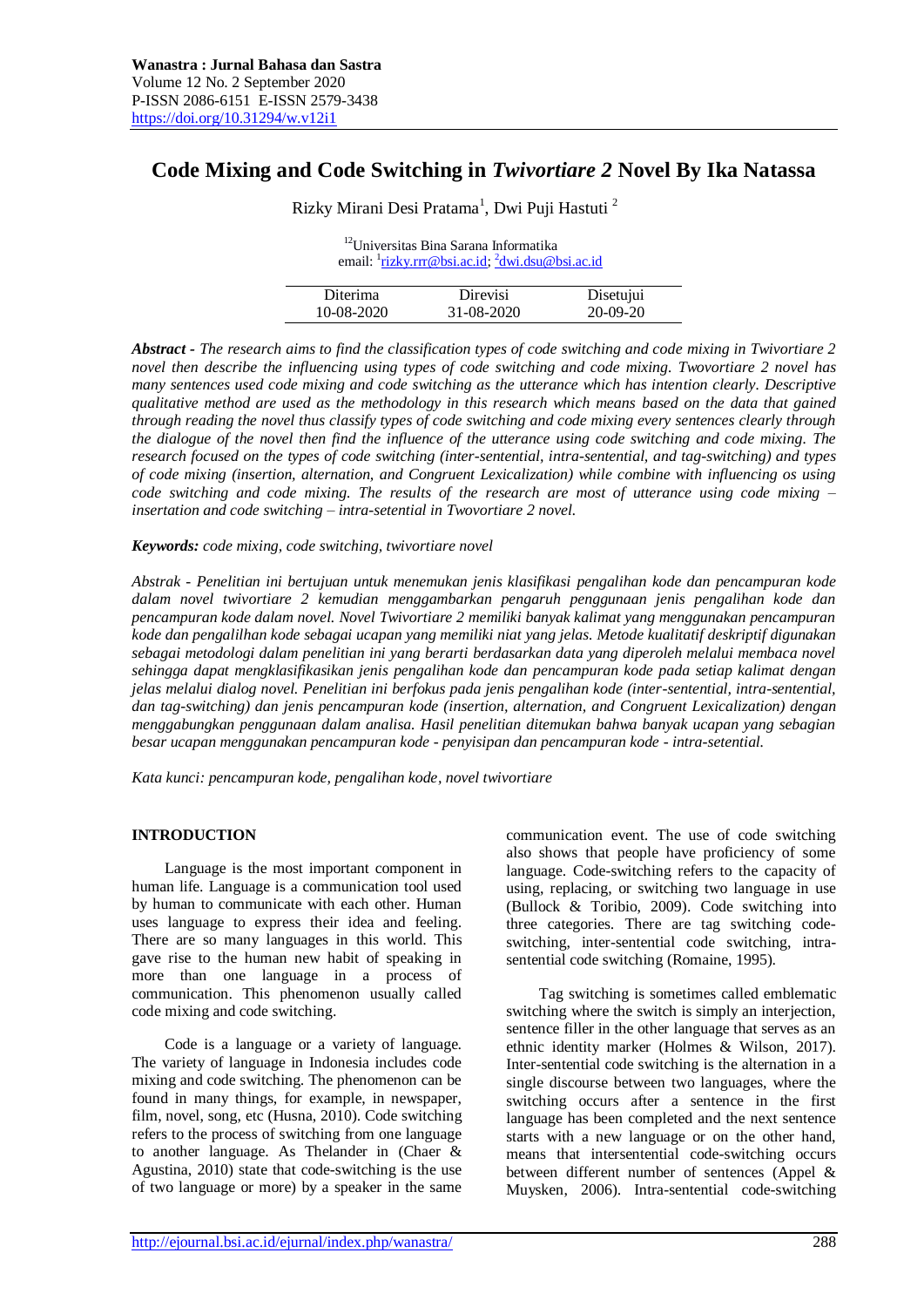# **Code Mixing and Code Switching in** *Twivortiare 2* **Novel By Ika Natassa**

Rizky Mirani Desi Pratama<sup>1</sup>, Dwi Puji Hastuti<sup>2</sup>

| <sup>12</sup> Universitas Bina Sarana Informatika<br>email: $\frac{1}{2}$ rizky.rrr@bsi.ac.id; $\frac{2}{3}$ dwi.dsu@bsi.ac.id |  |  |  |  |
|--------------------------------------------------------------------------------------------------------------------------------|--|--|--|--|
| <b>Direvisi</b><br>Disetujui<br>Diterima                                                                                       |  |  |  |  |
| $20-09-20$<br>$10-08-2020$<br>31-08-2020                                                                                       |  |  |  |  |

*Abstract - The research aims to find the classification types of code switching and code mixing in Twivortiare 2 novel then describe the influencing using types of code switching and code mixing. Twovortiare 2 novel has many sentences used code mixing and code switching as the utterance which has intention clearly. Descriptive qualitative method are used as the methodology in this research which means based on the data that gained through reading the novel thus classify types of code switching and code mixing every sentences clearly through the dialogue of the novel then find the influence of the utterance using code switching and code mixing. The research focused on the types of code switching (inter-sentential, intra-sentential, and tag-switching) and types of code mixing (insertion, alternation, and Congruent Lexicalization) while combine with influencing os using code switching and code mixing. The results of the research are most of utterance using code mixing – insertation and code switching – intra-setential in Twovortiare 2 novel.*

*Keywords: code mixing, code switching, twivortiare novel*

*Abstrak - Penelitian ini bertujuan untuk menemukan jenis klasifikasi pengalihan kode dan pencampuran kode dalam novel twivortiare 2 kemudian menggambarkan pengaruh penggunaan jenis pengalihan kode dan pencampuran kode dalam novel. Novel Twivortiare 2 memiliki banyak kalimat yang menggunakan pencampuran kode dan pengalilhan kode sebagai ucapan yang memiliki niat yang jelas. Metode kualitatif deskriptif digunakan sebagai metodologi dalam penelitian ini yang berarti berdasarkan data yang diperoleh melalui membaca novel sehingga dapat mengklasifikasikan jenis pengalihan kode dan pencampuran kode pada setiap kalimat dengan jelas melalui dialog novel. Penelitian ini berfokus pada jenis pengalihan kode (inter-sentential, intra-sentential, dan tag-switching) dan jenis pencampuran kode (insertion, alternation, and Congruent Lexicalization) dengan menggabungkan penggunaan dalam analisa. Hasil penelitian ditemukan bahwa banyak ucapan yang sebagian besar ucapan menggunakan pencampuran kode - penyisipan dan pencampuran kode - intra-setential.*

*Kata kunci: pencampuran kode, pengalihan kode, novel twivortiare*

# **INTRODUCTION**

Language is the most important component in human life. Language is a communication tool used by human to communicate with each other. Human uses language to express their idea and feeling. There are so many languages in this world. This gave rise to the human new habit of speaking in more than one language in a process of communication. This phenomenon usually called code mixing and code switching.

Code is a language or a variety of language. The variety of language in Indonesia includes code mixing and code switching. The phenomenon can be found in many things, for example, in newspaper, film, novel, song, etc (Husna, 2010). Code switching refers to the process of switching from one language to another language. As Thelander in (Chaer & Agustina, 2010) state that code-switching is the use of two language or more) by a speaker in the same

communication event. The use of code switching also shows that people have proficiency of some language. Code-switching refers to the capacity of using, replacing, or switching two language in use (Bullock & Toribio, 2009). Code switching into three categories. There are tag switching codeswitching, inter-sentential code switching, intrasentential code switching (Romaine, 1995).

Tag switching is sometimes called emblematic switching where the switch is simply an interjection, sentence filler in the other language that serves as an ethnic identity marker (Holmes & Wilson, 2017). Inter-sentential code switching is the alternation in a single discourse between two languages, where the switching occurs after a sentence in the first language has been completed and the next sentence starts with a new language or on the other hand, means that intersentential code-switching occurs between different number of sentences (Appel & Muysken, 2006). Intra-sentential code-switching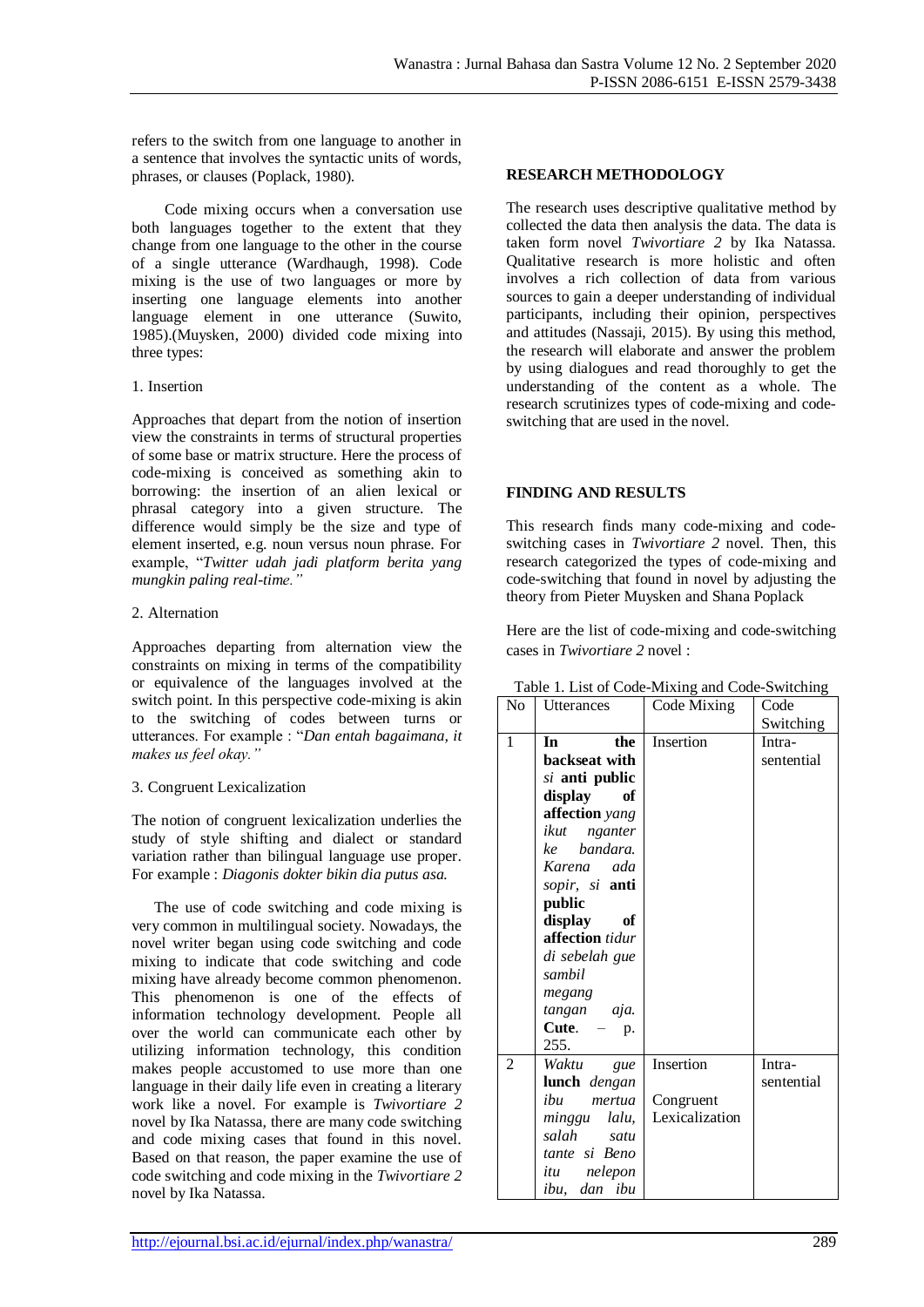refers to the switch from one language to another in a sentence that involves the syntactic units of words, phrases, or clauses (Poplack, 1980).

Code mixing occurs when a conversation use both languages together to the extent that they change from one language to the other in the course of a single utterance (Wardhaugh, 1998). Code mixing is the use of two languages or more by inserting one language elements into another language element in one utterance (Suwito, 1985).(Muysken, 2000) divided code mixing into three types:

## 1. Insertion

Approaches that depart from the notion of insertion view the constraints in terms of structural properties of some base or matrix structure. Here the process of code-mixing is conceived as something akin to borrowing: the insertion of an alien lexical or phrasal category into a given structure. The difference would simply be the size and type of element inserted, e.g. noun versus noun phrase. For example, "*Twitter udah jadi platform berita yang mungkin paling real-time."*

## 2. Alternation

Approaches departing from alternation view the constraints on mixing in terms of the compatibility or equivalence of the languages involved at the switch point. In this perspective code-mixing is akin to the switching of codes between turns or utterances. For example : "*Dan entah bagaimana, it makes us feel okay."*

# 3. Congruent Lexicalization

The notion of congruent lexicalization underlies the study of style shifting and dialect or standard variation rather than bilingual language use proper. For example : *Diagonis dokter bikin dia putus asa.*

The use of code switching and code mixing is very common in multilingual society. Nowadays, the novel writer began using code switching and code mixing to indicate that code switching and code mixing have already become common phenomenon. This phenomenon is one of the effects of information technology development. People all over the world can communicate each other by utilizing information technology, this condition makes people accustomed to use more than one language in their daily life even in creating a literary work like a novel. For example is *Twivortiare 2* novel by Ika Natassa, there are many code switching and code mixing cases that found in this novel. Based on that reason, the paper examine the use of code switching and code mixing in the *Twivortiare 2* novel by Ika Natassa.

# **RESEARCH METHODOLOGY**

The research uses descriptive qualitative method by collected the data then analysis the data. The data is taken form novel *Twivortiare 2* by Ika Natassa. Qualitative research is more holistic and often involves a rich collection of data from various sources to gain a deeper understanding of individual participants, including their opinion, perspectives and attitudes (Nassaji, 2015). By using this method, the research will elaborate and answer the problem by using dialogues and read thoroughly to get the understanding of the content as a whole. The research scrutinizes types of code-mixing and codeswitching that are used in the novel.

# **FINDING AND RESULTS**

This research finds many code-mixing and codeswitching cases in *Twivortiare 2* novel*.* Then, this research categorized the types of code-mixing and code-switching that found in novel by adjusting the theory from Pieter Muysken and Shana Poplack

Here are the list of code-mixing and code-switching cases in *Twivortiare 2* novel :

| No             | <b>Utterances</b> | Code Mixing    | Code       |
|----------------|-------------------|----------------|------------|
|                |                   |                | Switching  |
| 1              | In<br>the         | Insertion      | Intra-     |
|                | backseat with     |                | sentential |
|                | si anti public    |                |            |
|                | display<br>of     |                |            |
|                | affection yang    |                |            |
|                | ikut nganter      |                |            |
|                | ke bandara.       |                |            |
|                | Karena ada        |                |            |
|                | sopir, si anti    |                |            |
|                | public            |                |            |
|                | display<br>of     |                |            |
|                | affection tidur   |                |            |
|                | di sebelah gue    |                |            |
|                | sambil            |                |            |
|                | megang            |                |            |
|                | tangan aja.       |                |            |
|                | Cute. $-$ p.      |                |            |
|                | 255.              |                |            |
| $\overline{2}$ | Waktu<br>gue      | Insertion      | Intra-     |
|                | lunch dengan      |                | sentential |
|                | ihu<br>mertua     | Congruent      |            |
|                | minggu lalu,      | Lexicalization |            |
|                | salah satu        |                |            |
|                | tante si Beno     |                |            |
|                | itu nelepon       |                |            |
|                | ibu, dan ibu      |                |            |

|  | Table 1. List of Code-Mixing and Code-Switching |  |
|--|-------------------------------------------------|--|
|--|-------------------------------------------------|--|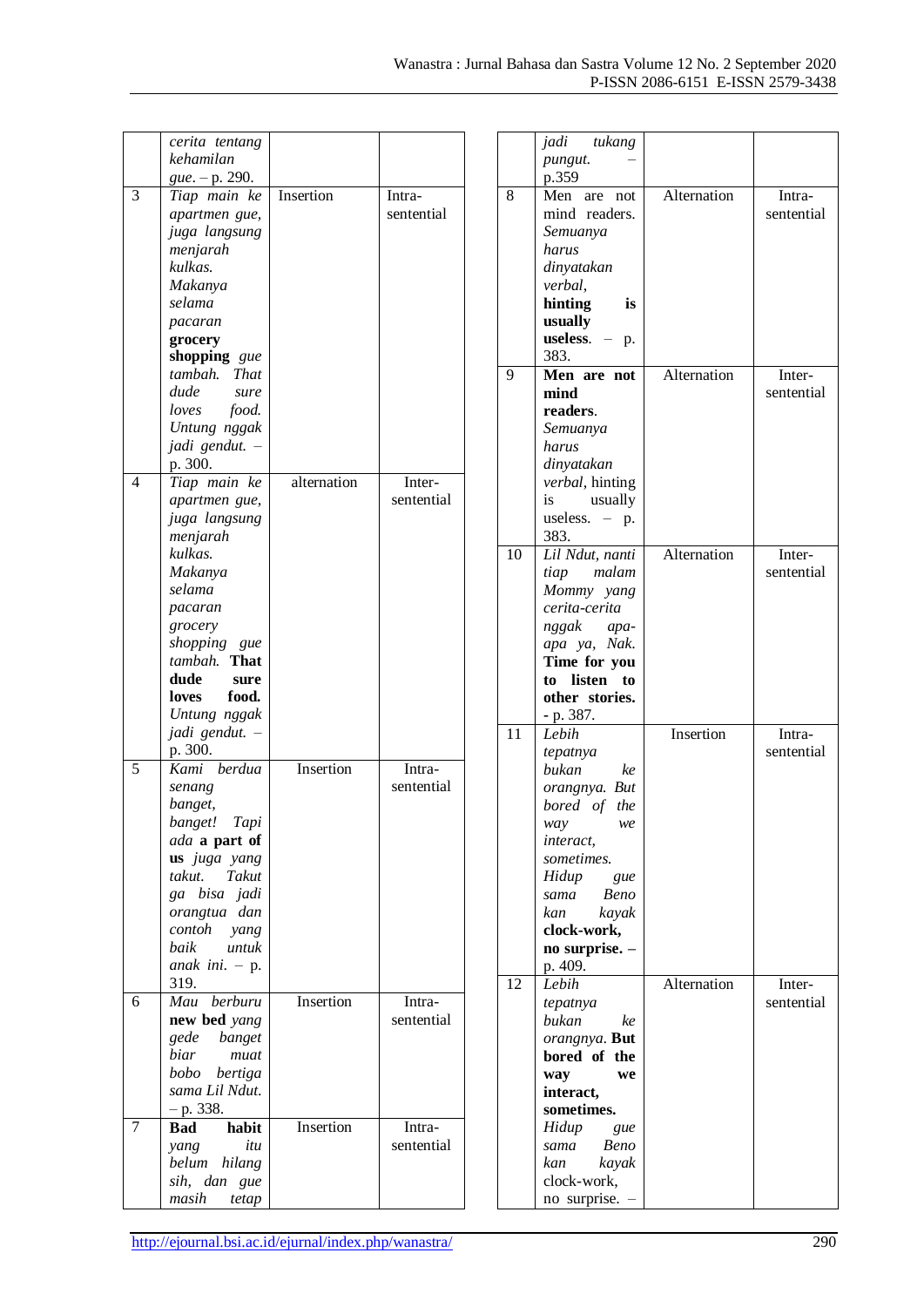|                          | cerita tentang                    |             |            |
|--------------------------|-----------------------------------|-------------|------------|
|                          | kehamilan                         |             |            |
|                          | gue. - p. 290.                    |             |            |
| 3                        | Tiap main ke                      | Insertion   | Intra-     |
|                          |                                   |             |            |
|                          | apartmen gue,                     |             | sentential |
|                          | juga langsung                     |             |            |
|                          | menjarah                          |             |            |
|                          | kulkas.                           |             |            |
|                          |                                   |             |            |
|                          | Makanya                           |             |            |
|                          | selama                            |             |            |
|                          | pacaran                           |             |            |
|                          | grocery                           |             |            |
|                          | shopping gue                      |             |            |
|                          |                                   |             |            |
|                          | tambah. That                      |             |            |
|                          | dude<br>sure                      |             |            |
|                          | loves food.                       |             |            |
|                          | Untung nggak                      |             |            |
|                          | jadi gendut.                      |             |            |
|                          |                                   |             |            |
|                          | p. 300.                           |             |            |
| $\overline{\mathcal{L}}$ | Tiap main ke                      | alternation | Inter-     |
|                          | apartmen gue,                     |             | sentential |
|                          | juga langsung                     |             |            |
|                          | menjarah                          |             |            |
|                          | kulkas.                           |             |            |
|                          |                                   |             |            |
|                          | Makanya                           |             |            |
|                          | selama                            |             |            |
|                          | pacaran                           |             |            |
|                          | grocery                           |             |            |
|                          | shopping gue                      |             |            |
|                          | tambah. That                      |             |            |
|                          |                                   |             |            |
|                          | dude<br>sure                      |             |            |
|                          |                                   |             |            |
|                          | loves food.                       |             |            |
|                          |                                   |             |            |
|                          | Untung nggak                      |             |            |
|                          | jadi gendut. -                    |             |            |
|                          | p. 300.                           |             |            |
| 5                        | berdua<br>Kami                    | Insertion   | Intra-     |
|                          | senang                            |             | sentential |
|                          | banget,                           |             |            |
|                          | banget! Tapi                      |             |            |
|                          |                                   |             |            |
|                          | ada a part of                     |             |            |
|                          | us juga yang                      |             |            |
|                          | takut.<br>Takut                   |             |            |
|                          | ga bisa jadi                      |             |            |
|                          | orangtua dan                      |             |            |
|                          | contoh                            |             |            |
|                          | yang<br>untuk                     |             |            |
|                          | baik                              |             |            |
|                          | anak ini. $- p$ .                 |             |            |
|                          | 319.                              |             |            |
| 6                        | Mau<br>berburu                    | Insertion   | Intra-     |
|                          | new bed yang                      |             | sentential |
|                          |                                   |             |            |
|                          | gede banget                       |             |            |
|                          | biar<br>muat                      |             |            |
|                          | bobo bertiga                      |             |            |
|                          | sama Lil Ndut.                    |             |            |
|                          | $- p. 338.$                       |             |            |
| 7                        | <b>Bad</b><br>habit               | Insertion   | Intra-     |
|                          | itu                               |             |            |
|                          | yang                              |             | sentential |
|                          | belum hilang                      |             |            |
|                          | sih, dan<br>gue<br>masih<br>tetap |             |            |

|    | jadi tukang                 |             |            |
|----|-----------------------------|-------------|------------|
|    | pungut.                     |             |            |
|    | p.359                       |             |            |
| 8  | Men<br>are not              | Alternation | Intra-     |
|    | mind readers.               |             | sentential |
|    |                             |             |            |
|    | Semuanya                    |             |            |
|    | harus                       |             |            |
|    | dinyatakan                  |             |            |
|    | verbal,                     |             |            |
|    | hinting<br>is               |             |            |
|    | usually                     |             |            |
|    | useless.<br>$-$ p.          |             |            |
|    | 383.                        |             |            |
| 9  | Men are not                 | Alternation | Inter-     |
|    | mind                        |             | sentential |
|    | readers.                    |             |            |
|    | Semuanya                    |             |            |
|    | harus                       |             |            |
|    | dinyatakan                  |             |            |
|    | verbal, hinting             |             |            |
|    | is usually                  |             |            |
|    | useless. $-$ p.             |             |            |
|    | 383.                        |             |            |
| 10 |                             | Alternation |            |
|    | Lil Ndut, nanti             |             | Inter-     |
|    | tiap malam                  |             | sentential |
|    | Mommy yang                  |             |            |
|    | cerita-cerita               |             |            |
|    | nggak apa-                  |             |            |
|    | apa ya, Nak.                |             |            |
|    | Time for you                |             |            |
|    |                             |             |            |
|    | to listen to                |             |            |
|    | other stories.              |             |            |
|    | - p. 387.                   |             |            |
| 11 | Lebih                       | Insertion   | Intra-     |
|    | tepatnya                    |             | sentential |
|    | bukan<br>ke                 |             |            |
|    | orangnya. But               |             |            |
|    |                             |             |            |
|    | bored of the<br>way<br>we   |             |            |
|    |                             |             |            |
|    | <i>interact,</i>            |             |            |
|    | sometimes.                  |             |            |
|    | Hidup<br>gue                |             |            |
|    | <b>Beno</b><br>sama         |             |            |
|    | kayak<br>kan                |             |            |
|    | clock-work,                 |             |            |
|    | no surprise. -              |             |            |
|    | p. 409.                     |             |            |
| 12 | Lebih                       | Alternation | Inter-     |
|    | tepatnya                    |             | sentential |
|    | bukan<br>ke                 |             |            |
|    | orangnya. But               |             |            |
|    | bored of the                |             |            |
|    | way<br>we                   |             |            |
|    | interact,                   |             |            |
|    | sometimes.                  |             |            |
|    | Hidup<br>gue                |             |            |
|    | <b>Beno</b><br>sama         |             |            |
|    | kan<br>kayak                |             |            |
|    | clock-work,<br>no surprise. |             |            |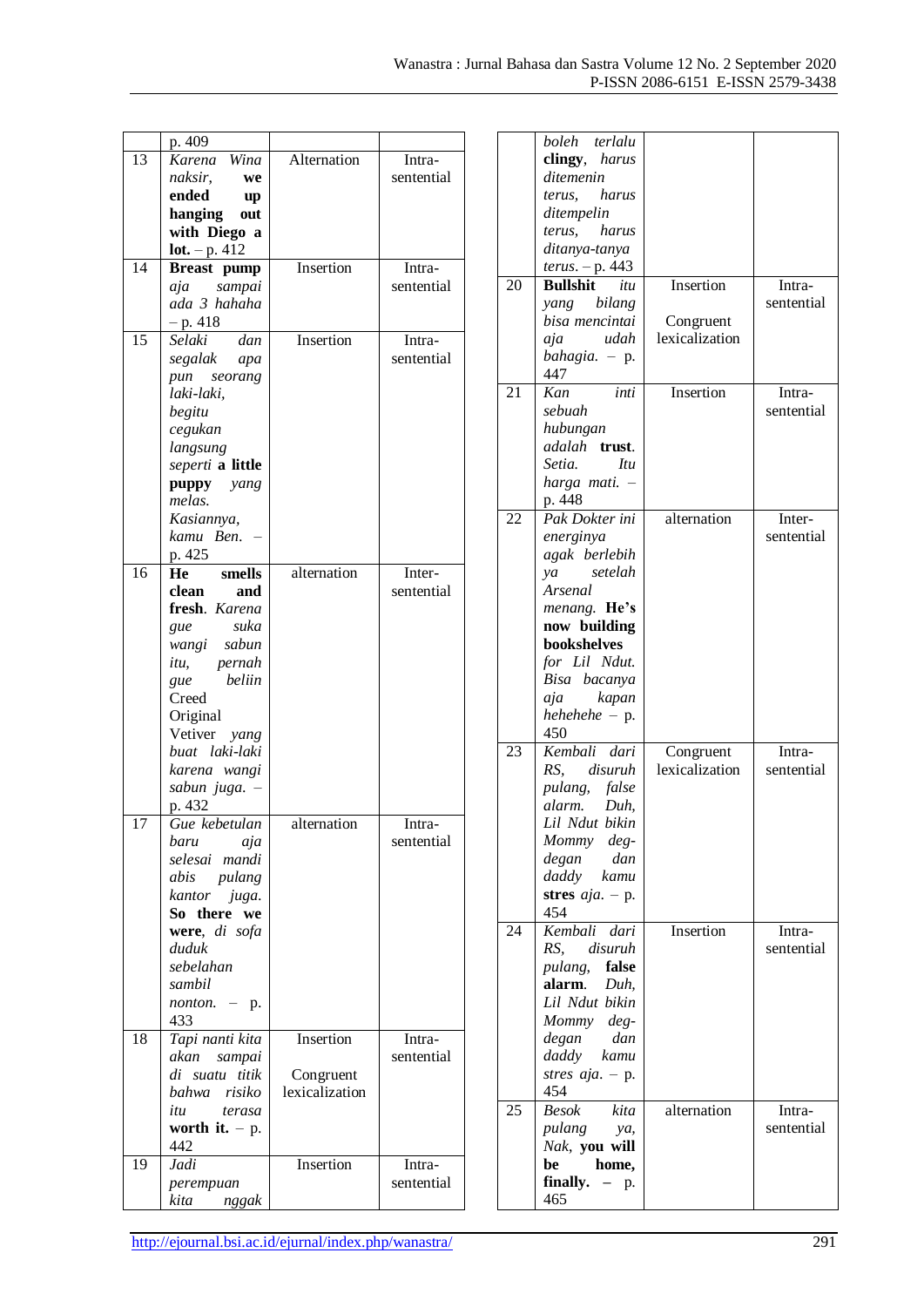|                 | p. 409                |                             |            |
|-----------------|-----------------------|-----------------------------|------------|
| 13              | Karena Wina           | Alternation                 | Intra-     |
|                 | naksir,<br>we         |                             | sentential |
|                 | ended<br>up           |                             |            |
|                 | hanging<br>out        |                             |            |
|                 | with Diego a          |                             |            |
|                 | $lot. - p. 412$       |                             |            |
| $\overline{14}$ | Breast pump           | Insertion                   | Intra-     |
|                 | aja sampai            |                             | sentential |
|                 | ada 3 hahaha          |                             |            |
|                 | $- p. 418$            |                             |            |
| 15              | Selaki<br>dan         | Insertion                   | Intra-     |
|                 | segalak<br>apa        |                             | sentential |
|                 | pun seorang           |                             |            |
|                 | laki-laki,            |                             |            |
|                 | begitu                |                             |            |
|                 | cegukan               |                             |            |
|                 | langsung              |                             |            |
|                 |                       |                             |            |
|                 | seperti a little      |                             |            |
|                 | puppy yang            |                             |            |
|                 | melas.                |                             |            |
|                 | Kasiannya,            |                             |            |
|                 | kamu Ben.             |                             |            |
|                 | p. 425                |                             |            |
| 16              | He<br>smells          | alternation                 | Inter-     |
|                 | clean<br>and          |                             | sentential |
|                 | fresh. Karena         |                             |            |
|                 | suka<br>gue           |                             |            |
|                 | wangi sabun           |                             |            |
|                 | itu, pernah           |                             |            |
|                 | beliin<br>gue         |                             |            |
|                 | Creed                 |                             |            |
|                 | Original              |                             |            |
|                 | Vetiver yang          |                             |            |
|                 | buat laki-laki        |                             |            |
|                 | karena wangi          |                             |            |
|                 | sabun juga. -         |                             |            |
|                 | p. 432                |                             |            |
| 17              | Gue kebetulan         | alternation                 | Intra-     |
|                 | baru<br>aja           |                             | sentential |
|                 | selesai mandi         |                             |            |
|                 | abis pulang           |                             |            |
|                 | kantor juga.          |                             |            |
|                 | So there we           |                             |            |
|                 | were, di sofa         |                             |            |
|                 | duduk                 |                             |            |
|                 | sebelahan             |                             |            |
|                 | sambil                |                             |            |
|                 | <i>nonton.</i> $-$ p. |                             |            |
|                 | 433                   |                             |            |
| 18              | Tapi nanti kita       | Insertion                   | Intra-     |
|                 | akan sampai           |                             | sentential |
|                 | di suatu titik        |                             |            |
|                 |                       | Congruent<br>lexicalization |            |
|                 | bahwa risiko          |                             |            |
|                 | itu terasa            |                             |            |
|                 | worth it. $- p$ .     |                             |            |
|                 | 442                   |                             |            |
| 19              | Jadi                  | Insertion                   | Intra-     |
|                 | perempuan             |                             | sentential |
|                 | kita nggak            |                             |            |

|    | boleh terlalu                     |                |            |
|----|-----------------------------------|----------------|------------|
|    | clingy, harus                     |                |            |
|    | ditemenin<br>terus, harus         |                |            |
|    | ditempelin                        |                |            |
|    | terus, harus                      |                |            |
|    | ditanya-tanya                     |                |            |
|    | <i>terus.</i> – p. 443            |                |            |
| 20 | <b>Bullshit</b><br>itu            | Insertion      | Intra-     |
|    | yang bilang                       |                | sentential |
|    | bisa mencintai                    | Congruent      |            |
|    | aja<br>udah                       | lexicalization |            |
|    | bahagia. $-$ p.                   |                |            |
|    | 447                               |                |            |
| 21 | Kan<br>inti                       | Insertion      | Intra-     |
|    | sebuah                            |                | sentential |
|    | hubungan<br>adalah <b>trust</b> . |                |            |
|    | Setia.<br>Itu                     |                |            |
|    | harga mati. -                     |                |            |
|    | p. 448                            |                |            |
| 22 | Pak Dokter ini                    | alternation    | Inter-     |
|    | energinya                         |                | sentential |
|    | agak berlebih                     |                |            |
|    | setelah<br>ya                     |                |            |
|    | Arsenal                           |                |            |
|    | menang. He's                      |                |            |
|    | now building                      |                |            |
|    | bookshelves                       |                |            |
|    | for Lil Ndut.<br>Bisa bacanya     |                |            |
|    | kapan<br>aja                      |                |            |
|    | $hehehehe - p.$                   |                |            |
|    | 450                               |                |            |
| 23 | Kembali dari                      | Congruent      | Intra-     |
|    | RS.<br>disuruh                    | lexicalization | sentential |
|    | pulang, false                     |                |            |
|    | alarm. Duh,                       |                |            |
|    | Lil Ndut bikin<br>Mommy deg-      |                |            |
|    | degan<br>dan                      |                |            |
|    | daddy kamu                        |                |            |
|    | stres $aja. - p.$                 |                |            |
|    | 454                               |                |            |
| 24 | Kembali dari                      | Insertion      | Intra-     |
|    | RS. disuruh                       |                | sentential |
|    | pulang, false                     |                |            |
|    | alarm. Duh,                       |                |            |
|    | Lil Ndut bikin                    |                |            |
|    | Mommy deg-                        |                |            |
|    | degan dan<br>daddy kamu           |                |            |
|    | stres $aja. - p.$                 |                |            |
|    | 454                               |                |            |
| 25 | <b>Besok</b><br>kita              | alternation    | Intra-     |
|    | pulang<br>ya,                     |                | sentential |
|    | Nak, you will                     |                |            |
|    | be<br>home,                       |                |            |
|    | finally. $- p$ .                  |                |            |
|    | 465                               |                |            |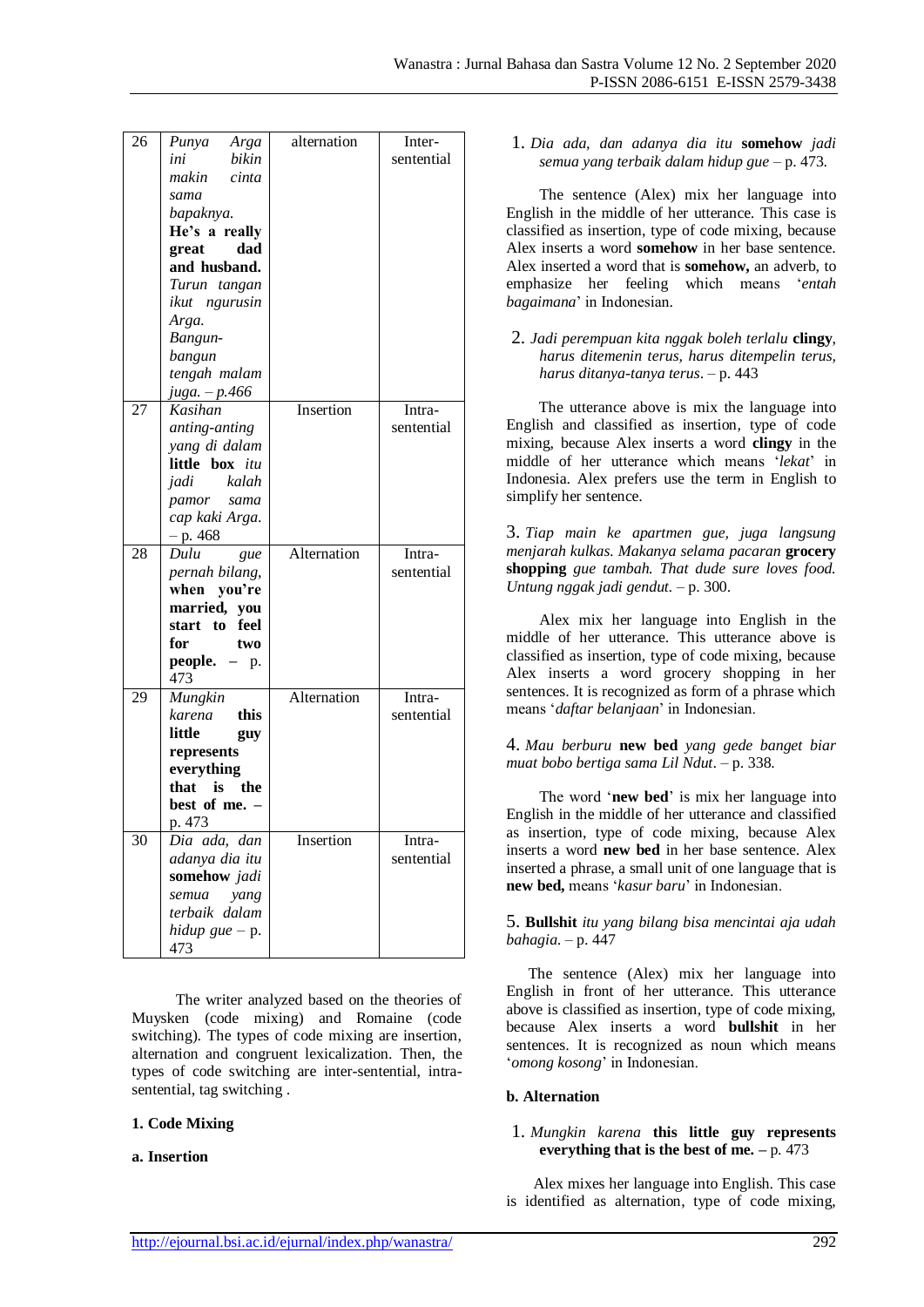| 26 | Punya<br>Arga                 | alternation | Inter-     |
|----|-------------------------------|-------------|------------|
|    | bikin<br>ini                  |             | sentential |
|    | cinta<br>makin                |             |            |
|    | sama                          |             |            |
|    | bapaknya.                     |             |            |
|    | He's a really                 |             |            |
|    | dad<br>great                  |             |            |
|    | and husband.                  |             |            |
|    | Turun tangan                  |             |            |
|    | ikut ngurusin                 |             |            |
|    | Arga.                         |             |            |
|    | Bangun-                       |             |            |
|    | bangun                        |             |            |
|    | tengah malam<br>juga. – p.466 |             |            |
| 27 | Kasihan                       | Insertion   | Intra-     |
|    | anting-anting                 |             | sentential |
|    | yang di dalam                 |             |            |
|    | little box <i>itu</i>         |             |            |
|    | kalah<br>jadi                 |             |            |
|    | pamor sama                    |             |            |
|    | cap kaki Arga.                |             |            |
|    | $-p.468$                      |             |            |
| 28 | Dulu<br>gue                   | Alternation | Intra-     |
|    | pernah bilang,                |             | sentential |
|    | when you're                   |             |            |
|    | married, you                  |             |            |
|    | start to feel                 |             |            |
|    | for<br>two                    |             |            |
|    | <b>people.</b> $-$ p.         |             |            |
|    | 473                           |             |            |
| 29 | Mungkin                       | Alternation | Intra-     |
|    | karena<br>this                |             | sentential |
|    | little<br>guy                 |             |            |
|    | represents                    |             |            |
|    | everything                    |             |            |
|    | that<br>is<br>the             |             |            |
|    | best of me. -<br>p. 473       |             |            |
| 30 | Dia ada, dan                  | Insertion   | Intra-     |
|    | adanya dia itu                |             | sentential |
|    | somehow jadi                  |             |            |
|    | semua<br>yang                 |             |            |
|    | terbaik dalam                 |             |            |
|    | hidup gue $-$ p.              |             |            |
|    | 473                           |             |            |

The writer analyzed based on the theories of Muysken (code mixing) and Romaine (code switching). The types of code mixing are insertion, alternation and congruent lexicalization. Then, the types of code switching are inter-sentential, intrasentential, tag switching .

#### **1. Code Mixing**

#### **a. Insertion**

1. *Dia ada, dan adanya dia itu* **somehow** *jadi semua yang terbaik dalam hidup gue* – p. 473.

The sentence (Alex) mix her language into English in the middle of her utterance. This case is classified as insertion, type of code mixing, because Alex inserts a word **somehow** in her base sentence. Alex inserted a word that is **somehow,** an adverb, to emphasize her feeling which means '*entah bagaimana*' in Indonesian.

2. *Jadi perempuan kita nggak boleh terlalu* **clingy**, *harus ditemenin terus, harus ditempelin terus, harus ditanya-tanya terus*. – p. 443

The utterance above is mix the language into English and classified as insertion, type of code mixing, because Alex inserts a word **clingy** in the middle of her utterance which means '*lekat*' in Indonesia. Alex prefers use the term in English to simplify her sentence.

3. *Tiap main ke apartmen gue, juga langsung menjarah kulkas. Makanya selama pacaran* **grocery shopping** *gue tambah. That dude sure loves food. Untung nggak jadi gendut.* – p. 300.

Alex mix her language into English in the middle of her utterance. This utterance above is classified as insertion, type of code mixing, because Alex inserts a word grocery shopping in her sentences. It is recognized as form of a phrase which means '*daftar belanjaan*' in Indonesian.

4. *Mau berburu* **new bed** *yang gede banget biar muat bobo bertiga sama Lil Ndut*. – p. 338.

The word '**new bed**' is mix her language into English in the middle of her utterance and classified as insertion, type of code mixing, because Alex inserts a word **new bed** in her base sentence. Alex inserted a phrase, a small unit of one language that is **new bed,** means '*kasur baru*' in Indonesian.

5. **Bullshit** *itu yang bilang bisa mencintai aja udah bahagia*. – p. 447

The sentence (Alex) mix her language into English in front of her utterance. This utterance above is classified as insertion, type of code mixing, because Alex inserts a word **bullshit** in her sentences. It is recognized as noun which means '*omong kosong*' in Indonesian.

#### **b. Alternation**

#### 1. *Mungkin karena* **this little guy represents everything that is the best of me. –** p. 473

Alex mixes her language into English. This case is identified as alternation, type of code mixing,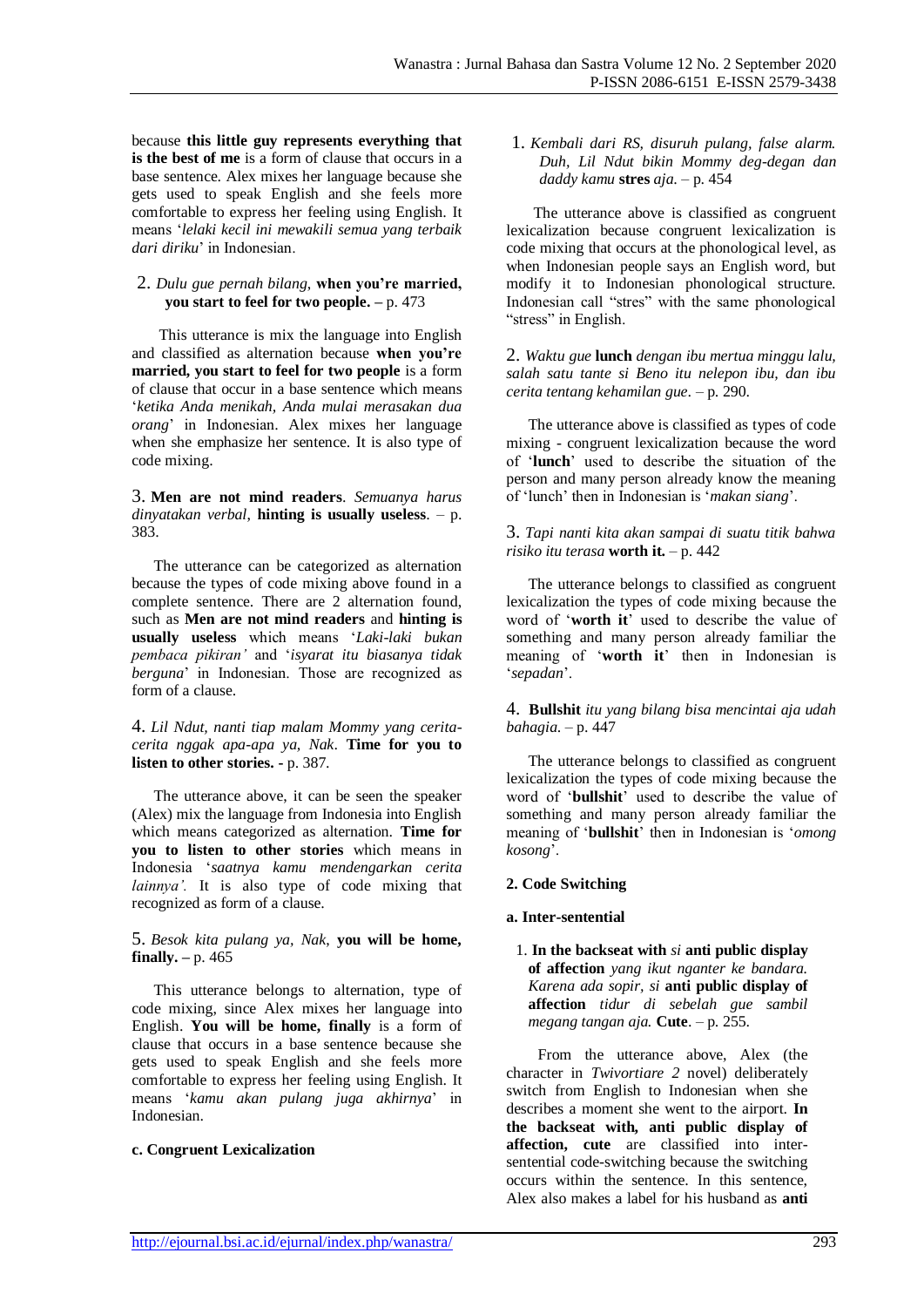because **this little guy represents everything that is the best of me** is a form of clause that occurs in a base sentence. Alex mixes her language because she gets used to speak English and she feels more comfortable to express her feeling using English. It means '*lelaki kecil ini mewakili semua yang terbaik dari diriku*' in Indonesian.

#### 2. *Dulu gue pernah bilang*, **when you're married, you start to feel for two people. –** p. 473

This utterance is mix the language into English and classified as alternation because **when you're married, you start to feel for two people** is a form of clause that occur in a base sentence which means '*ketika Anda menikah, Anda mulai merasakan dua orang*' in Indonesian. Alex mixes her language when she emphasize her sentence. It is also type of code mixing.

3. **Men are not mind readers**. *Semuanya harus dinyatakan verbal*, **hinting is usually useless**. – p. 383.

The utterance can be categorized as alternation because the types of code mixing above found in a complete sentence. There are 2 alternation found, such as **Men are not mind readers** and **hinting is usually useless** which means '*Laki-laki bukan pembaca pikiran'* and '*isyarat itu biasanya tidak berguna*' in Indonesian. Those are recognized as form of a clause.

4. *Lil Ndut, nanti tiap malam Mommy yang ceritacerita nggak apa-apa ya, Nak*. **Time for you to listen to other stories. -** p. 387.

The utterance above, it can be seen the speaker (Alex) mix the language from Indonesia into English which means categorized as alternation. **Time for you to listen to other stories** which means in Indonesia '*saatnya kamu mendengarkan cerita lainnya'.* It is also type of code mixing that recognized as form of a clause.

5. *Besok kita pulang ya, Nak*, **you will be home, finally. –** p. 465

This utterance belongs to alternation, type of code mixing, since Alex mixes her language into English. **You will be home, finally** is a form of clause that occurs in a base sentence because she gets used to speak English and she feels more comfortable to express her feeling using English. It means '*kamu akan pulang juga akhirnya*' in Indonesian.

# **c. Congruent Lexicalization**

1. *Kembali dari RS, disuruh pulang, false alarm. Duh, Lil Ndut bikin Mommy deg-degan dan daddy kamu* **stres** *aja*. – p. 454

The utterance above is classified as congruent lexicalization because congruent lexicalization is code mixing that occurs at the phonological level, as when Indonesian people says an English word, but modify it to Indonesian phonological structure. Indonesian call "stres" with the same phonological "stress" in English.

2. *Waktu gue* **lunch** *dengan ibu mertua minggu lalu, salah satu tante si Beno itu nelepon ibu, dan ibu cerita tentang kehamilan gue*. – p. 290.

The utterance above is classified as types of code mixing - congruent lexicalization because the word of '**lunch**' used to describe the situation of the person and many person already know the meaning of 'lunch' then in Indonesian is '*makan siang*'.

#### 3. *Tapi nanti kita akan sampai di suatu titik bahwa risiko itu terasa* **worth it.** – p. 442

The utterance belongs to classified as congruent lexicalization the types of code mixing because the word of '**worth it**' used to describe the value of something and many person already familiar the meaning of '**worth it**' then in Indonesian is '*sepadan*'.

4. **Bullshit** *itu yang bilang bisa mencintai aja udah bahagia*. – p. 447

The utterance belongs to classified as congruent lexicalization the types of code mixing because the word of '**bullshit**' used to describe the value of something and many person already familiar the meaning of '**bullshit**' then in Indonesian is '*omong kosong*'.

#### **2. Code Switching**

#### **a. Inter-sentential**

1. **In the backseat with** *si* **anti public display of affection** *yang ikut nganter ke bandara. Karena ada sopir, si* **anti public display of affection** *tidur di sebelah gue sambil megang tangan aja.* **Cute**. – p. 255.

From the utterance above, Alex (the character in *Twivortiare 2* novel) deliberately switch from English to Indonesian when she describes a moment she went to the airport. **In the backseat with, anti public display of affection, cute** are classified into intersentential code-switching because the switching occurs within the sentence. In this sentence, Alex also makes a label for his husband as **anti**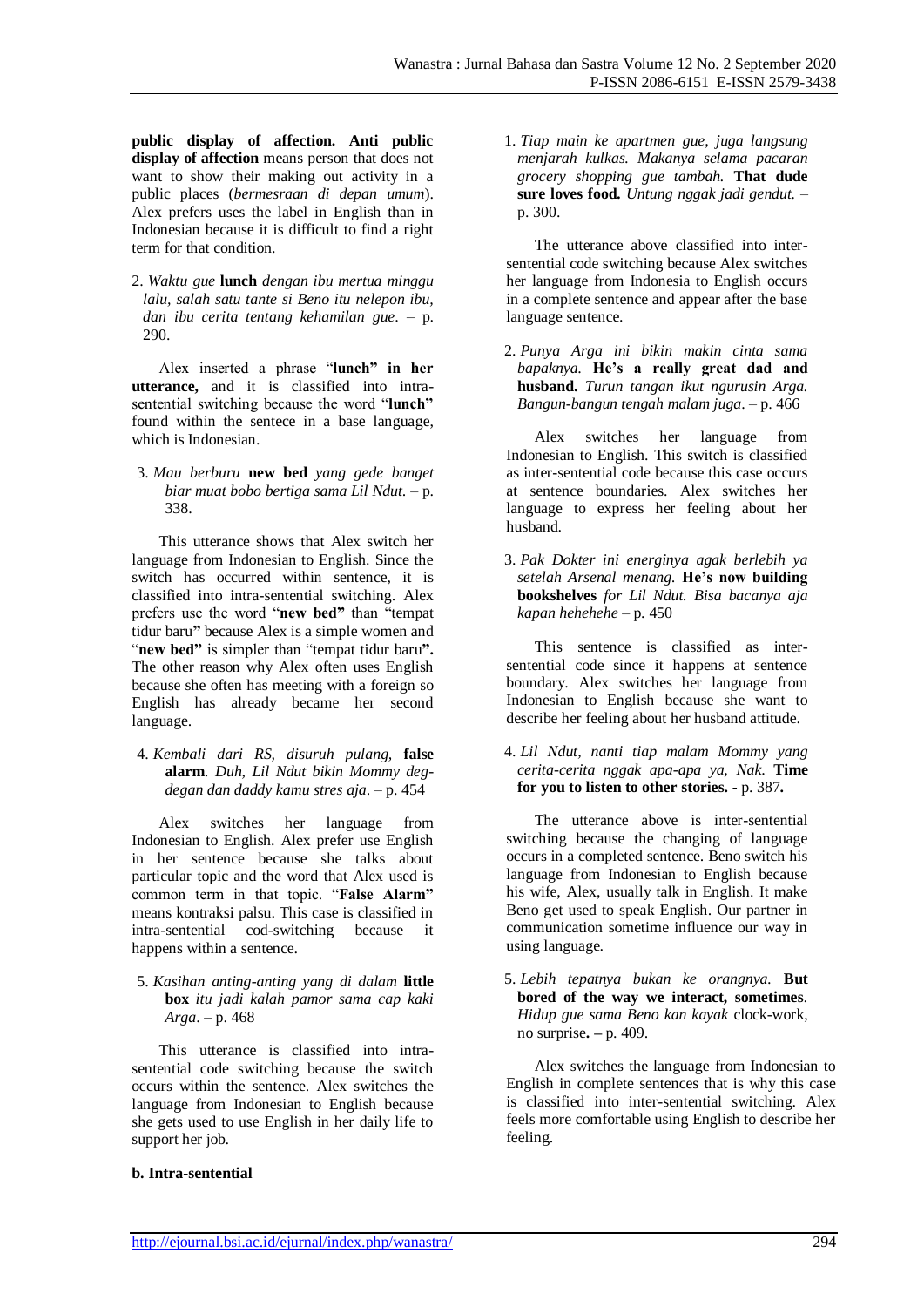**public display of affection. Anti public display of affection** means person that does not want to show their making out activity in a public places (*bermesraan di depan umum*). Alex prefers uses the label in English than in Indonesian because it is difficult to find a right term for that condition.

2. *Waktu gue* **lunch** *dengan ibu mertua minggu lalu, salah satu tante si Beno itu nelepon ibu, dan ibu cerita tentang kehamilan gue*. – p. 290.

Alex inserted a phrase "**lunch" in her utterance,** and it is classified into intrasentential switching because the word "**lunch"**  found within the sentece in a base language, which is Indonesian.

3. *Mau berburu* **new bed** *yang gede banget biar muat bobo bertiga sama Lil Ndut*. – p. 338.

This utterance shows that Alex switch her language from Indonesian to English. Since the switch has occurred within sentence, it is classified into intra-sentential switching. Alex prefers use the word "**new bed"** than "tempat tidur baru**"** because Alex is a simple women and "**new bed"** is simpler than "tempat tidur baru**".** The other reason why Alex often uses English because she often has meeting with a foreign so English has already became her second language.

4. *Kembali dari RS, disuruh pulang,* **false alarm***. Duh, Lil Ndut bikin Mommy degdegan dan daddy kamu stres aja*. – p. 454

Alex switches her language from Indonesian to English. Alex prefer use English in her sentence because she talks about particular topic and the word that Alex used is common term in that topic. "**False Alarm"**  means kontraksi palsu. This case is classified in intra-sentential cod-switching because it happens within a sentence.

5. *Kasihan anting-anting yang di dalam* **little box** *itu jadi kalah pamor sama cap kaki Arga*. – p. 468

This utterance is classified into intrasentential code switching because the switch occurs within the sentence. Alex switches the language from Indonesian to English because she gets used to use English in her daily life to support her job.

1. *Tiap main ke apartmen gue, juga langsung menjarah kulkas. Makanya selama pacaran grocery shopping gue tambah.* **That dude sure loves food***. Untung nggak jadi gendut.* – p. 300.

The utterance above classified into intersentential code switching because Alex switches her language from Indonesia to English occurs in a complete sentence and appear after the base language sentence.

2. *Punya Arga ini bikin makin cinta sama bapaknya*. **He's a really great dad and husband.** *Turun tangan ikut ngurusin Arga. Bangun-bangun tengah malam juga*. – p. 466

Alex switches her language from Indonesian to English. This switch is classified as inter-sentential code because this case occurs at sentence boundaries. Alex switches her language to express her feeling about her husband.

3. *Pak Dokter ini energinya agak berlebih ya setelah Arsenal menang.* **He's now building bookshelves** *for Lil Ndut. Bisa bacanya aja kapan hehehehe* – p. 450

This sentence is classified as intersentential code since it happens at sentence boundary. Alex switches her language from Indonesian to English because she want to describe her feeling about her husband attitude.

4. *Lil Ndut, nanti tiap malam Mommy yang cerita-cerita nggak apa-apa ya, Nak*. **Time for you to listen to other stories. -** p. 387**.**

The utterance above is inter-sentential switching because the changing of language occurs in a completed sentence. Beno switch his language from Indonesian to English because his wife, Alex, usually talk in English. It make Beno get used to speak English. Our partner in communication sometime influence our way in using language.

5. *Lebih tepatnya bukan ke orangnya.* **But bored of the way we interact, sometimes***. Hidup gue sama Beno kan kayak* clock-work, no surprise**. –** p. 409.

Alex switches the language from Indonesian to English in complete sentences that is why this case is classified into inter-sentential switching. Alex feels more comfortable using English to describe her feeling.

#### **b. Intra-sentential**